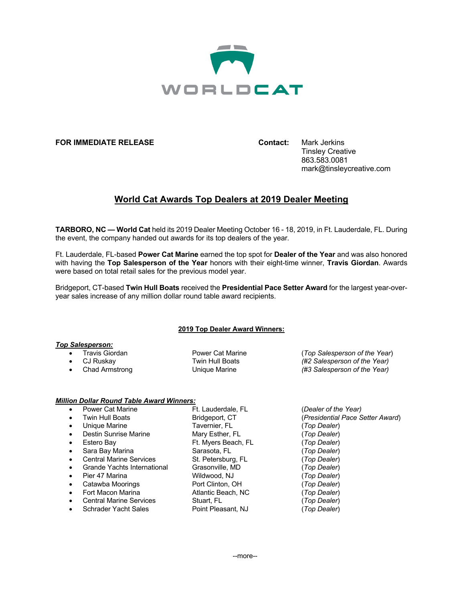

### **FOR IMMEDIATE RELEASE Contact:** Mark Jerkins

Tinsley Creative 863.583.0081 mark@tinsleycreative.com

# **World Cat Awards Top Dealers at 2019 Dealer Meeting**

**TARBORO, NC — World Cat** held its 2019 Dealer Meeting October 16 - 18, 2019, in Ft. Lauderdale, FL. During the event, the company handed out awards for its top dealers of the year.

Ft. Lauderdale, FL-based **Power Cat Marine** earned the top spot for **Dealer of the Year** and was also honored with having the **Top Salesperson of the Year** honors with their eight-time winner, **Travis Giordan**. Awards were based on total retail sales for the previous model year.

Bridgeport, CT-based **Twin Hull Boats** received the **Presidential Pace Setter Award** for the largest year-overyear sales increase of any million dollar round table award recipients.

### **2019 Top Dealer Award Winners:**

### *Top Salesperson:*

• Travis Giordan Power Cat Marine (*Top Salesperson of the Year*) • CJ Ruskay Twin Hull Boats *(#2 Salesperson of the Year)* • Chad Armstrong Unique Marine *(#3 Salesperson of the Year)*

## *Million Dollar Round Table Award Winners:*

|           | Power Cat Marine               | Ft. Lauderdale, FL  |
|-----------|--------------------------------|---------------------|
|           | <b>Twin Hull Boats</b>         | Bridgeport, CT      |
| $\bullet$ | Unique Marine                  | Tavernier, FL       |
| $\bullet$ | Destin Sunrise Marine          | Mary Esther, FL     |
| $\bullet$ | Estero Bay                     | Ft. Myers Beach, FL |
|           | Sara Bay Marina                | Sarasota, FL        |
|           | <b>Central Marine Services</b> | St. Petersburg, FL  |
| $\bullet$ | Grande Yachts International    | Grasonville, MD     |
| $\bullet$ | Pier 47 Marina                 | Wildwood, NJ        |
| $\bullet$ | Catawba Moorings               | Port Clinton, OH    |
|           | Fort Macon Marina              | Atlantic Beach, NC  |
|           | <b>Central Marine Services</b> | Stuart, FL          |
|           | Schrader Yacht Sales           | Point Pleasant, NJ  |
|           |                                |                     |

• Power Cat Marine Ft. Lauderdale, FL (*Dealer of the Year)* (Presidential Pace Setter Award) • Unique Marine Tavernier, FL (*Top Dealer*) • Destin Sunrise Marine Mary Esther, FL (*Top Dealer*) (Top Dealer) (Top Dealer) • Central Marine Services St. Petersburg, FL (*Top Dealer*) • Grande Yachts International Grasonville, MD (*Top Dealer*)  $(Top$  Dealer) (Top Dealer) • Fort Macon Marina Atlantic Beach, NC (*Top Dealer*) • Central Marine Services Stuart, FL (*Top Dealer*) (Top Dealer)